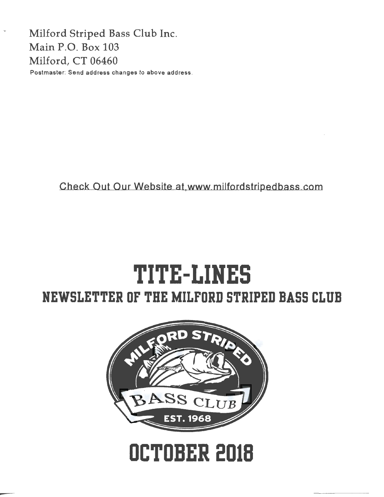Milford Striped Bass Club Inc. Main P.O. Box 103 Milford, CT 06460 Postmaster: Send address changes to above address.

Check Out Our Website at,www milfordstripedbass com

# **TITE-LIHES NEWSLETTER OF THE MILFORD STRIPED BASS CLUB**

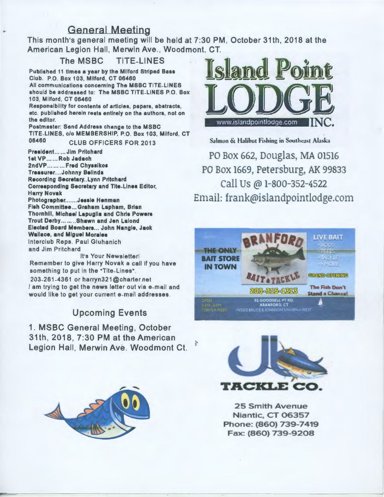#### General Meeting

This month's general meeting will be held at 7:30PM, October 31th, 2018 at the American Legion Hall, Merwin Ave., Woodmont, CT.

::..

#### The MSBC TITE-LINES

Published 11 times a year by the Milford Striped Bass Club. P.O. Box 103, Milford, CT 06460 All communications concerning The MSBC TITE-LINES should be addressed to: The MSBC TITE-LINES P.O. Box 103, Milford, CT 06460

Responsibility for contents of articles, papers, abstracts, etc. published herein rests entirely on the authors, not on the editor.

Postmaster: Send Address change to the MSBC TITE-LINES, c/o MEMBERSHIP, P.O. Box 103, Milford, CT 06460 CLUB OFFICERS FOR 2013

Preaident... ... Jim Pritchard 1at VP ...... Rob Jadach 2ndVP ......... Fred Chyaaikoa Treasurer....Johnny Belinda Recording Secretary..Lynn Pritchard Correaponding Secretary and Tite-Linea Editor, Harry Novak Photographer.......Jessie Henman Fiah Committee ... Graham Lapham, Brian Thornhill, Michael Lapuglla and Chrla Powera Trout Derby ........ Shawn and Jen Lalond Elected Board Members... John Nangle, Jack Wallace, and Miguel Moralea Interclub Reps. Paul Gluhanich and Jim Pritchard

It's Your Newsletter! Remember to give Harry Novak a call if you have something to put in the "Tite-Lines".

203-261 -4361 or harryn321 @charter. net I am trying to get the news letter out via e-mail and would like to get your current e-mail addresses.

### Upcoming Events

1. MSBC General Meeting, October 31th, 2018, 7:30 PM at the American Legion Hall, Merwin Ave. Woodmont Ct.





Salmon & Halibut Fishing in Southeast Alaska PO Box 662, Douglas, MA 01516 PO Box 1669, Petersburg, AK 99833 Call Us @ 1-800-352-4522 Email: frank@islandpointlodge.com





25 Smith Avenue Niantic. CT 06357 Phone: (860) 739-7419 Fax: (860) 739-9208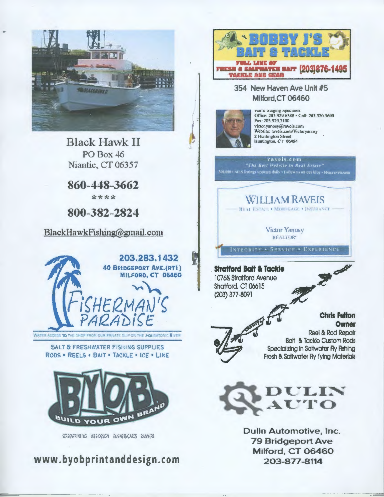

**Black Hawk II PO Box 46** Niantic, CT 06357

860-448-3662

\*\*\*\*

800-382-2824

BlackHawkFishing@gmail.com



WATER ACCESS TO THE SHOP FROM OUR PRIVATE SHIP ON THE HOUSATONIC RIVER

**SALT & FRESHWATER FISHING SUPPLIES** RODS . REELS . BAIT . TACKLE . ICE . LINE



KREENFRATING WEBCESCH BUSINESSCHOS BANKERS

www.byobprintanddesign.com



#### 354 New Haven Ave Unit #5 Milford.CT 06460



riome Staging Specialist<br>Office: 203.929.6388 • Cell: 203.520.5690 Fax: 203.929.3100 victor.yanosy@raveis.com Website: raveis.com/Victoryanosy 2 Huntington Street Huntington, CT 06484

## ravets.com<br>"The Best Website in Real Estate"<br>"Div, (110) MLS listings updated daily + Follow us an our blog - blog.ravels.co

**WILLIAM RAVEIS REAL ESTATE . MORTGAGE . INSURANCE** 

**Victor Yanosy** 

REALTOR\*

INTEGRITY . SERVICE . EXPERIENCE

**Stratford Bait & Tackle** 1076% Stratford Avenue Stratford, CT 06615  $(203)$  377-8091





**Bait & Tackle Custom Rods** Specializing in Saltwater Fly Fishing Fresh & Saltwater Fly Tying Materials



Dulin Automotive, Inc. **79 Bridgeport Ave** Milford, CT 06460 203-877-8114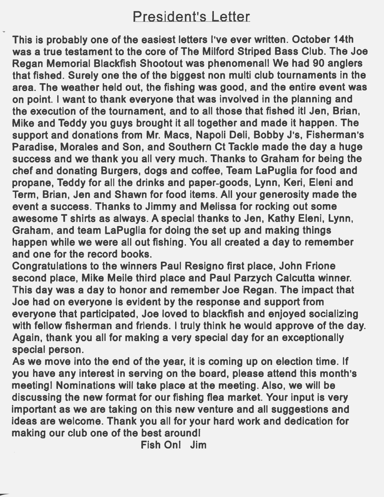### President's Letter

This is probably one of the easiest letters I've ever written. October 14th was a true testament to the core of The Milford Striped Bass Club. The Joe Regan Memorial Blackfish Shootout was phenomenal! We had 90 anglers that fished. Surely one the of the biggest non multi club tournaments in the area. The weather held out, the fishing was good, and the entire event was on point. I want to thank everyone that was involved in the planning and the execution of the tournament, and to all those that fished itl Jen, Brian, Mike and Teddy you guys brought it all together and made it happen. The support and donations from Mr. Macs, Napoli Deli, Bobby J's, Fisherman's Paradise, Morales and Son, and Southern Ct Tackle made the day a huge success and we thank you all very much. Thanks to Graham for being the chef and donating Burgers, dogs and coffee, Team LaPuglia for food and propane, Teddy for all the drinks and paper-goods, Lynn, Keri, Eleni and Term, Brian, Jen and Shawn for food items. All your generosity made the event a success. Thanks to Jimmy and Melissa for rocking out some awesome T shirts as always. A special thanks to Jen, Kathy Eleni, Lynn, Graham, and team LaPuglia for doing the set up and making things happen while we were all out fishing. You all created a day to remember and one for the record books.

Congratulations to the winners Paul Resigno first place, John Frione second place, Mike Meile third place and Paul Parzych Calcutta winner. This day was a day to honor and remember Joe Regan. The impact that Joe had on everyone is evident by the response and support from everyone that participated, Joe loved to blackfish and enjoyed socializing with fellow fisherman and friends. I truly think he would approve of the day. Again, thank you all for making a very special day for an exceptionally special person.

As we move into the end of the year, it is coming up on election time. If you have any interest in serving on the board, please attend this month's meeting! Nominations will take place at the meeting. Also, we will be discussing the new format for our fishing flea market. Your input is very important as we are taking on this new venture and all suggestions and ideas are welcome. Thank you all for your hard work and dedication for making our club one of the best aroundl

Fish Onl Jim

-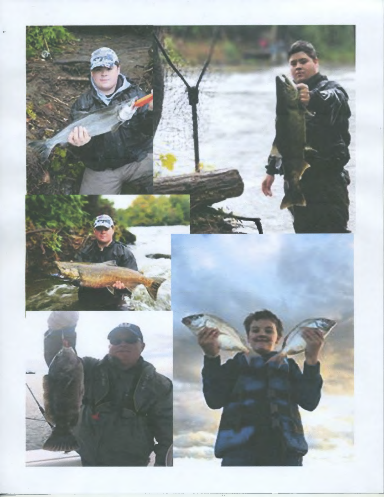